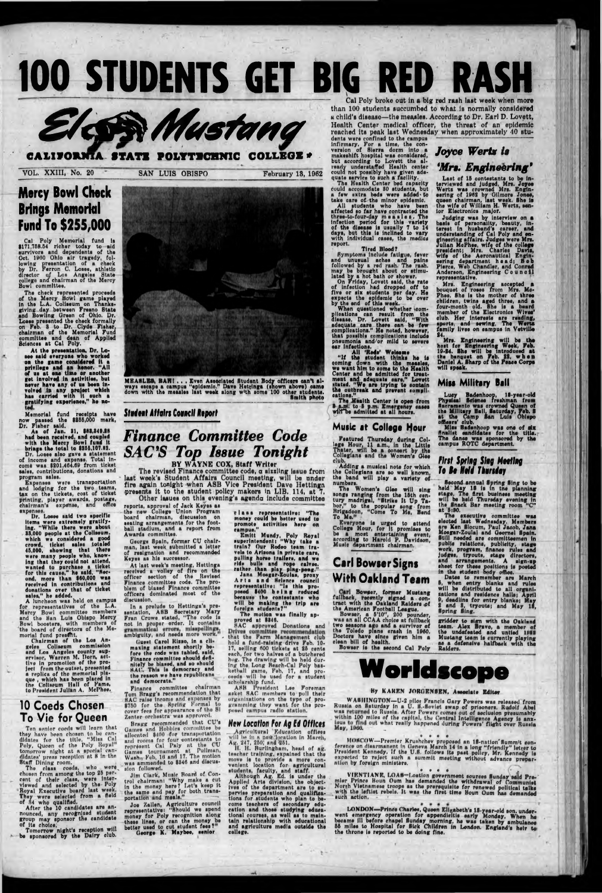# 100 STUDENTS GET BIG RED RASH **r**



### POLYTECHNIC COLLEGE #

VOL. XXIII, No. 20 SAN LUIS OBISPO February 18, 1962

Health Center medical officer, the threat of an epidemic reached its peak last Wednesday when approximately 40 students were confined to the campus **ACCOLOGY ASSESSMENT ASSESSMENT** Joyce Werts is

Cal Poly broke out in a big red raah last week when more than 100 students succumbed to what is normally considered u child's disease—the measles. According to Dr. Earl D. Lovett,

Cul Poly Memorial fund is \$171,768.04 richer today to aid survivors and dependents of the Oct. 1960 Ohio air tragedy, following presentation of a check by Dr. Perron C. Losee, athletic director uf Los Angeles State college and chairman of the Mercy Bowl committee.

### Mercy Bowl Chock Brings Memorlol Fund To \$255,000

At the presentation, Dr. Losee said everyone who worked on the game considered it a privilege and an honor. "All of us at one time or another get involved in activities, but never have any of us been involved In any protect which has carried with It such a gratifying experience," he no-

The check represented proceeds of the Mercy Bowl game played in the L.A. Coliseum on Thanksgiving day between Freano State and Bowling Green of Ohio. Dr. Losee preeented the check formally on Feb. 8 to Dr. Clyde Fisher, chairman of the Memorial Fund committee and dean of Applied Sciences at Cal Poly.

Dr. Losee said two specific items were extremely gratify-Ing. "While there were about 88,000 people at the Coliseum, which we considered a good crowd, ticket sales totaled 45,000, showing that there were many people who, know-Ing that they could not attend, wanted to purchase a ticket for this cause," he said. "Second, more than \$60,000 was received in contributions and

sales," he added. A luncheon was held on campus for representatives of the L.A. Mercy Bowl committee members and the Ban Luis Obispo Mercy Bowl boosters, with members of the board of directors of the Memorial fund present.

Memorial fund receipts have now passed the \$866,000 mark, Dr. Fisher said.

As of Jan. 81, \$88,848.88 had been received, and coupled with the Mercy Bowl fund it brings the total to \$255,107.89.

The class coeds, who were chosen from among the top 25 percent of their class, were Interviewed and selected by the Poly Royal Executive board last week. They were selected from a field of 84 who qualified,

Dr. Losee also gave a statement of income and expense. Total income was \$201,404.00 from ticket sales, contributions, donations and program sales.

After the 10 candidates are announced, any recognised student group may sponsor the candidate

of its choice,<br>Tomorrow night's reception will be sponsored by the Dairy club.

Expenses were transportation and lodging for the two teams, tax on the tickets, cost of ticket printing, player awards, postage, chairman's expense, and office expenses.

The reviaed Finance committee code, a sizzling issue from laat week'a Student Affairs Council meeting, will be under fire again tonight when ASB Vice President Davo Hettinga presents it to the student policy makers in LIB. 114, at 7, Other issues on this evening's agend<del>a include committee</del>

reports, approval of Jack Keyes as tha new College Union Program board chairman, dlacuaaion on seating arrangements for the football stadium, and a report from Awarda committee.

George Spain, formar CU chairman, laat week submitted a lattar of raalgnatlon and recommended Keyes as his successor.

At last week's meeting, Hettinga received a volley of fire on the officer section of the Revised Finance committee code. Tho problem of biased Finance committee officers dominated most of the discussion,

In a prelude to Hettinga's presentation, ASB Secretary Mary Fran Crowe stated, "Tha code la not in proper order. It contains<br>
symmatical errors, misspellings

Guest Carol Rizzo, in a climaxing statement shortly before the code was tabled, said, Finance committee should definitely be biased, and ao should HAC. This is democracy and the reason we have republicans and democrats."

donations over that of ticket

Chairman of the Loo Angeles Coliseum commission and Los Angeles county supervisor, Warren M. Dorn, actlive in promotion of the project from the outset, presented a replica of the memorial plaque , which has been placed In tne Coliseum Hall of Fame, to President Julian A. McPhee,

Finance committee chairman Tom Bragg's recommendation that HAC raise income and exponses by \$750 for the Spring Formal to cover fees for appearance of tho SI Zenter orchestra was approved.

Bragg recommended that CU's Games and Hobbies committee be Games and Hobbles committee be allocated \$100 for transportation and rooms for four contestants to represent Cal Paly at the CU Games tournumont at Pullman, Wash<sub>17</sub> Feb. 16 and 17. The motion was am mended to \$340 and discussion followed.

Jim Clark, Music Board of Control ehulrmuns "Why make a cut In the money hore? Let s keep It the same and pay for both transportation and meals."

### **10 Coeds Chosen To Vie for Queen**

Ten senior coeds will lenrn that they have been chosen to be candidates for the title, "Miss Cal Poly, Queen of the Poly Royal' tomorrow night at a special candidates' press reception nt 8 In thn Staff Dining room.

> Joe Zallen, Agriculture council representative: "Should we spend money for Poly recognition along these lines, or can the money be better used to cut student fees ? George K. May bee, senior

\_ Agricultural Education offices will be in a now location in March, Ag. 247, 250, and 251.



MEASLES, BAH I . . , Even Associated Student Body officers can't always escape a campua "epidemic." Dave Hettinga (shown above) came down with tho measles last week along w'th some 100 other students. \_\_\_\_\_\_\_\_\_\_\_\_\_\_\_\_\_\_\_\_\_\_\_\_\_\_\_\_\_\_\_\_\_\_\_\_\_\_\_\_\_\_\_\_\_\_\_\_\_\_ Smith photo

infirmary. For a time, the conversion of Sierra dorm into a makeshift hospital was considered, but according to Lovett the already understaffed Health center could not possibly have given adequate service to such a facility.

#### *Student Affairs Council Aeport*

## *Finance Committee Code SAC'S Top Issue Tonight*

BY WAYNE COX, Staff Writer

On Friday, Lovett said, the rate of Infection had dropped off to five or six students per day. He expects ths epidemic to be over by the end of thie week.

When questioned whether somplications can result from ths disease. Dr. Lovett said, "With adequate ears there ean be few complicationa." He noted, however, that possible complications include pneumonia and/or mild to severe ear infections.

The Health Center is open from **5 a.m.** to 5 p.m. Emergency cases wilTbe admitted at all nours.

Everyone is urged to attend College Hour, for it promises to be a most entertaining event, according to Harold P. Davidson, Music department chairmen.

class representative! "The money could be better used to promote ectlvitles here on campus."

Judging was by interview on a basis of personality, beauty, interest in husband's career, end understanding of Cal Poly and engineering affaire. Judges were Mrs.<br>Julian McPhee, wife of the college ullsn McPhee, wife of the college president; Mrs. Charles Davis, wife of the Aeronautical Engineering department head; Bob Pierce, Web Chandler, end Conrad Anderson, Engineering Council representative.

Mrs. Engineering accepted a bouquet of rosea from Mrs. Mo-Phae. She is the mother of three children, twine egad three, and a four-month old. She ie a board member of the Electronics Wives' club. Her interests are reading, sports, and sewing, The Wertz family lives on campus in Vetville 84,

Mrs. Engineering will be tha host for Engineering Week, Feb. 10-84. She will be introduced at the banquet on Feb. 82, when Daniel A. Sharp of the Peace Corps will speak.

Miss Badenhoop was one of aix finalist candidates for the title. The denes was sponsored by the campus ROTC department.

#### *First Spring Sing Meeting To Bt Held Jhurtdoi*

Second annual Spring Sing to be held May IS Is in tne planning stage, Tho first business meeting will be held Thursday evening in the Snack Bar meeting room "C"<br>at 5:30.

Emltt Mundy, Poly Royal superintendent! "Why take a train? Our Rodeo team travels to Arisons In private rare, pulling horeo trailers, and ws ride bulls and rope calves, rather than play ping-pong." Jana Mosgar-Zoulas, proxy Arts and Science council representativei "Is this proposed \$400 being reduced because the contestants who will be making the trip ere foreign students?" The motion was finally approved at \$848. SAC approved Donations and ambiguity, and needs more work.", that the Farm Management club hold a fund-raising drive Feb. 10- 17, selling 600 tickets at 25 cents each, for two halves of a butchered hog. The drawing will be held during the Long Beach-Cal Poly basketball game, Feb, 17, and proceeds will be used for a student scholarship fund. ABB President Lee Foreman asket MAC members to poll their urgimlxatlons on the typo of programming they want for the proposed campus radio station,

Dates to remember ere March **8, when entry blanks and rules** 

will be distributed to all organisations and residence halls; April P, deadline for entry blanks; May 2 and 8, tryouts; and May 16,<br>Spring Sing.

gridder to sign with the Oakland team. Alex Bravo, a member of the undefeated and untied 1053 Mustang teem is currently playing as a defensive halfback with the<br>Raiders.

• \* • e VIENTIANE, LOAS-Loution government sources Sunday said Promier Prince Boun Oum has demanded the withdrawal of Communist North Vietnamese troops as the prerequisite for renewed political telka with the leftist rebels. It was the first time Boun Oum has demanded such action.

LONDON—Prince Charles, Queen Elizabeth's 13-year-old son, underwent emergency operation for appendicitis early Monday. When he became ill before chapel Sunday morning, he was taken by ambulance 66 miles to Hospital for Sick Children in London. England's heir to the throne ie reported to be doing fine.

*Hew Location For Ag Ed Offices*

II. H. Burllngham, head of ag. teacher training, expnined that the move Is to provide a mors convenient location for agricultural students, faculty, and staff.

Although Ag. Ed. is under the Applied Arts division, the objectives of the department era to supervise preparation and qualifications for students who plan to become teachere of eecondary education and thoee studying educational courses, as well as to maintain relationship with educational and agriculture madia outside the college.

fullback, recently signed a contract with the Oakland Raiders of the American Football League.

Tha Health Cantar bed capacity could accomodata 80 atudanta, but a faw extra beds were added-to taka care of tha minor apldemlc.

All studanta who hava bean affactad so far have contracted tha thrae-to-four-dey measles. Ths Infection period for this variety of the dleoaee is usually 7 to 14 days, but this is inclined to very with individual cases, the medics report.

Tired Blood?

Symptoms Include fatigue, fever and unusual achss and pains followed by a red rash. The rash, may be brought about or stimulated by a hot bath or shower.

#### All 'Rede' Welcome

**"If the student thinke he la coming down with the meeeloe, wo went him to come to the Health Center end be admitted for treatment end'** adequate **cere," Lovett Ktatad, "We are trying to contain tha outbreak and prevent** compli-**cations."**

#### **Music at Collage tfour**

Featured Thursday during Col*lags* Hour. 11 a.m., in the Little Thater, will be a concert by the Collegians end tne Women's Glee club,

Adding e musical note for which the Collegians era so well known, the band will play a variety of numbers.

The Women's Glee will sing songs ranging from the 16th century madrigal, "Strike It Up Tabor," to tne popular song from Rrigedoon, "Come To Me, Bend To Me. *;*

### Carl Bowser Signs With Oakland Team

Bowser, e 5'10", 200 pounder, was an all CCAA choice at fullback two seaeone ago and a survivor of the Toledo plane crash in I860, Doctors have since given him a clean bill of health.

Boweer le the second Cal Poly

## *\*Mr». Engineering9*

Last of 16 contestants to be interviewed end Judged, Mrs. Joyce Warts was crowned Mrs. Engineering of 1002 by Gilmore Jones, queen chairmen, last weak. She is the wife of William H. Warts, senior Electronics major.

#### **Mils Military Ball**

Lucy Bsdenhoop, 18-year-old Physical Science freshman from Hacramento was crowned Queen of the Military Ball, Saturday, Yob. 8 at the Camp San Luis Obispo officers' club.

Tha executive committee was elected last Wednesday, Members ere Ken Slocum, Paul Jacob, Jana Mosgar-Zoulal and Geornel Spain. Still needed are committeemen In public relatione, publicity, stage work, program, finance rule\* end Judges, tryouts, stage directors, and arrangements. A sign-up sheet for these positions is posted in the student body office.



#### By KAHRN JORGENSEN. Associate Editor

WABHINGTON-U-2 pilot Francis Gary Powers was released from Kueeie on Saturday in e U. 8,-Soviet swap of prisoners. Rudolf Abel was returned to Russia. After Powers comes out of seclusion presumably within 100 miles of the capital, the Central Intelligence Agency is anxwus to find out what really happened during Powers' flight over Russia

• » • •

MONCOW—Premier Krushchev proposed an 18-nation Summit conference on dlsarmanent in Geneva March 14 in a long "friendly" letter to President Kennedy. If the U.S. follows its past policy, Mr. Kennedy is expected to reject such a summit meeting without advance preparation by foreign ministers.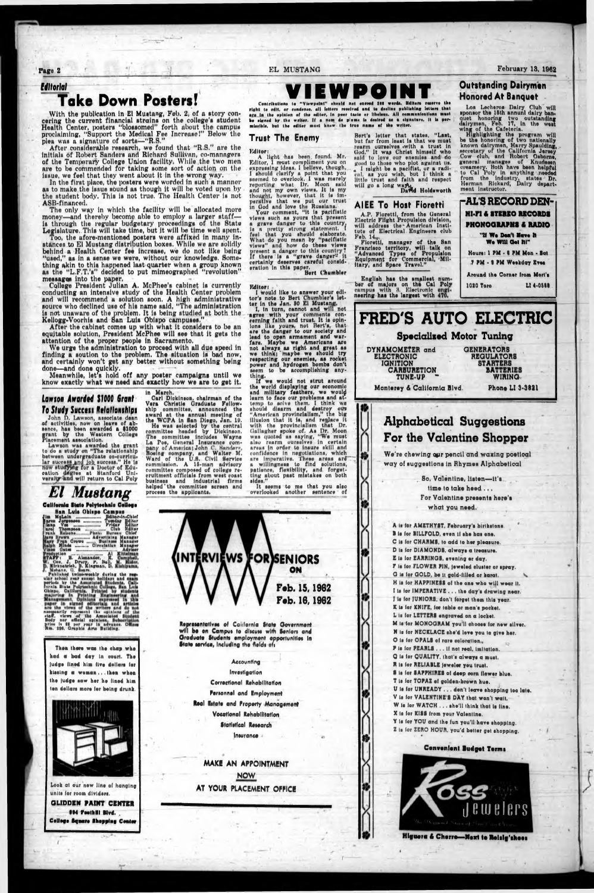**Tage 2 EL MUSTANG February 13, 1062**

#### *Uttoriol*

## **Take Down Posters!**

With the publication in El Mustang, Feb. 2, of a story concering the current financial strains on the college's student Health Center, posters "blossomed" forth about the campus proclaiming, "Support the Medical Fee Increase I" Below the plea was a signature of sorts—"R.S."

In the first place, the posters were worded in such a manner as to make the issue sound as though it will be voted upon by tho student body. This is not true. Tho Health Center is not ASB-financed.

The only way in which the facility will be allocated more money—and thereby becomo able to employ a larger staff is through the regular budgetary proceedings of the State Legislature. This will take time, but it will be time well spent.

After considerable research, we found that "R.S." are the initials of Robert Sanders and Richnrd Sullivan, co-manngers of the Temporary College Union facility. While the two men are to be commended for taking some sort of action on the issue, we feel that they went about it in the wrong way.

After the cabinet comes up with what it considers to be an equitable solution, President McPhee will see that it gets the attention of the proper people in Sacramento.

Too, the afore-mentioned posters were affixed in many Instances to El Mustang distribution boxes. While we are solidly behind a Health Center fee increase, we do not like being "used," as in a sense we were, without our knowledge. Something akin to this happened last quarter when a group known as the "L.F.T.'s" decided to put mimeographed "revolution" messages into the paper.

College President Julian A. McPhee's cabinet is currently conducting an intensive study of the Health Center problem and will recommend a solution soon. A high administrative source who declined use of his name said, "The administration is not unawnre of the problem. It is being studied at both the Kellogg-Voorhis and San Luis Obispo campuses."

Editor:<br>A light has been found. Mr. must compliment you on Editor, I must compliment you on<br>expressing ideas. I believe, though, A ligh expressing ideas. I believe, though 1 should durify a point that you seemed to overlook. I was merely reporting what Dr. Moon suid und not my own views. It is my thought, however, that It is imperative that we put our trust in God und love the Russians.

Bert's lotter that states, "Last, but fur from least is that we must rearm ourselves «wlth a trust in God." It way Christ himself who suid to lovu our cnentlos and do good to those who plot ngulnat us. <sup>c</sup> 1 might be a pacifist, or a radical, as you wish, but I think n little trust and faith and respect will go a long way.<br>David Holdsworth

We urge the administration to proceed with all due speed in finding a soution to the problem. The situation is bad now, and certainly won't get any better without something being done—and done quickly.

Meanwhile, let's hold off any poster campaigns until we know exactly what we need and exactly how we are to get it.

Highlighting the program will he the honoring of two nationally known dairymen, Harry Spaulding, secretary of the California Jersey Cow club, and Robert Osborne, general manages of Knudesen<br>creamery. Hoth have been helpful to Cal Toly in anything needed from the industry, states Dr.

two outstanding<br>17. in the west

in March.

Vera Christie Graduate Fellow-

La Poe, (leneral Inauranca com-

I would like to answer your gdltor's note to Bert Chumbler's let-

committee composed of college re-

process tha applicants,

John D. Lawson, associate dean of activities, now on leave of absence, has been awarded a \$1000 **f** frant by the Western College<br>Placement association. Incement association.

Lawson was awarded the grant to do a study on "The relationship between undergraduate eo-currlcular succes how cation versl lergradt imfish. g for a success." He is Doctor of Eduree at Btanford Uniwill return to Cal Poly

Han Lula Obispo Campus Jim MfUIn \_\_\_\_\_\_\_ .... JMItor-ln-Ohltf Friday Pictor Photo Photo Club Pictor Checker Photo Photo Photo Checker Photo Checker Photo Checker Photo Checker Photo Checker Photo Checker Photo Checker Photo Checker Photo Checker Photo Checker Photo Checker Photo Chec swytien<br>**AFF S. Alexander, fn**<br>Cox. J. Drup, P. Hall

R j kishatelah, D. Kingman, E. Kishiya<br>Published Awice-weekly during the<br>ular school year accept holiday, and a<br>period, by Uma<br>fornia, Bolifornia, Printed, by Blue<br>Obtspo. California, Printed, by Blue<br>Obtspo. \_\_<br>olyteshnli are the views of the writers and<br>neegoarlly represent the opinions **Body nor official opinions**<br>price is II per year in a<br>Am. 294, Graphic Arts Bui

ter in the Jan. 80 El Mustang I, in turn, cannot and will not agree with your comments concerning faith and trust. It is opinions like yours, not Bert's, that

Carl Dickinson, chairman of the ship committee, announced tho award at tha annual meeting of the WCPA in Ban Diego, Jan. 10, He waa aelected by the central rommlttee headed by Dickinson. The committee includea Wayne pany of America) John C. Hunderr, Hoeing company, and Walter M. Ward of tho U.8. Civil Borvlce commission. A 15-man advisory cruitment officials from west coast business and industrial firms helped'the committee screen and thing. If we would not strut around the world displaying our economic and military feathers, we wouty learn to faca our problems and attemp to solve them. I think we should disarm and destroy ot» "American provincialism," the big illusion that It is. and renlacn It with the provincialism that Dr. (lullagher spoke of. As Dr. Moon was quoted as saying, "We must ulso rearm ourselves in certain areas in order to insure skill and confidence in negotiations, which are imperative. These areas arf~" a willingness to find solutions, patience, flexibility, end forgetting about past mistakes on both eldes."

Your comment, "it is paciflstlo views such ns yours that present a grave danger to this country. is a pretty strong statement. I feel that you should elaborate. What do you moan by "padfistlc views" and how do these views present a danger to this country? If there is a "grave danger" it certainly deserves careful consideration in thie paper. Bert ('humbler

Then there was the chap who had a bad day In court. The judge lined him live dollars for kissing a woman ... then when the fudge saw her he lined him ton dollars more ior being drunk.



**Outstanding Dairyman Honored At Banquat**

quet honoring two of dairymen, Feb. 17, in wing of the Cafeteria.

Los Lecheroa Dairy Club will sponsor the 16th annunl dairy ban

We're chewing our pencil and waxing poetical way of auggestlona in Rhymes Alphabetical

#### **AIEE To Host Fioretti**

A.P. Fioretti, from the General Electric Flight Propulsion division, will address the American Institutu of Electrical Engineers club Feb. 14.

Fioretti, manager of tho San Francisco territory, will talk on "Advanced Types of Propulsion Equipment for Commercial, Military, and Space Travel."

Editor)

#### *Low son Awordtd \$1000 Grant To Study Success Helotlonshlps*

## *El Mustang*

### **Calllemia Slate Pelyteekale Callage**



English has the smallest num bar of majors on the Cal Pol] campus with 3. Electronic neerlng has the largest with

are the danger to our society and lead to open armament and warfare. Maybe we Americans are not always as right and groat as

we think)' maybe we should try respecting our enemies, aa rocket power and hydrogen bombs don't seem to be accomplishing any-

It seems to mo that you also overlooked another sentence of

Contributions to "Viewpoint" should not exceed 100 words. Heltors reserve the right to edit, or condense, all letters resolved and to decline publishing letters that age in the opinion of the editor, in peer taste or libeleus. All communications must be signed by the writer. If a nom de plume is desired as a signature, it is permissible, but the editor must know the true name of the writer.

IEWPOIN

#### **Trust The Enemy**



#### Feb. 15, 1962 Feb. 16,1962

Representatives of California State Government will be on Campus to discuss with Seniors and Oraduate Students employment opportunities in State service, including the fields of:



Look at our new line ol hanging unite lor room dlvlderi. OLIDDEN PAINT CENTER *OM Feelhul Blvd.* College Sgaere Shopping Center

Accounting Investigation Correctional Rehabilitation Personnel and Employment Real Estate and Property Management Vocational Rehabilitation Statistical Research Insurance <

**MAKE AN APPOINTMENT NOW AT YOUR PLACEMENT OFFICE**

**t r** *r r r r <i>r r r <i>r r r r r r r r r f f f f f f f f f f f f f f f f f f f f*

\*

\*>

■ J . e

. So. Valentine, listen—it'i time to take heed . , , For Valentine presents here's what you need.

A Is ior AMETHYST, February's btrthstone. B is ior BILLFOLD, oven li she has one. C is for CHARMS, to add to her pleasure. D Is lor DIAMONDS, always a treasure. E Is ier EARRINOB, evening or day. F Is lor FLOWER PIN, Jeweled duster or spray. 0 Is lor GOLD, be It gold-itllod or karat. H le ior HAPPINESS ol the one who will wear it.



Convenient Budget Terms



**Higuera & Cherro-Next to Reisig'shees**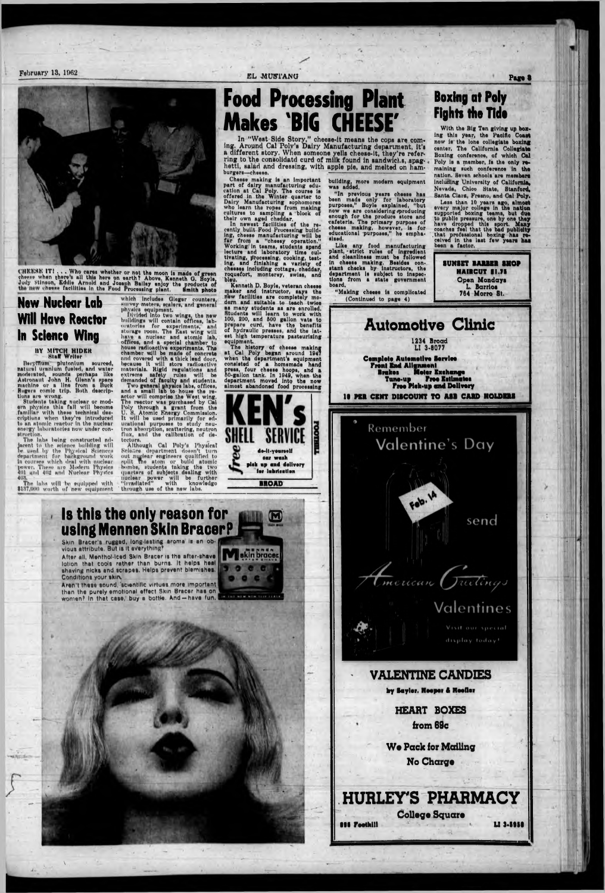**February 13, 1962** 



CHEESE IT!... Who cares whether or not the moon is made of green<br>cheese when there's all this here on earth? Above, Kenneth G. Boyle,<br>Judy Stimon, Eddie Arnold and Joseph Balley enjoy the products of<br>the new cheese facilit

## **New Nuclear Lab Will Have Reactor** In Science Wing

### BY MITCH HIDER

Bergittian plutonium sourced,<br>natural uranium fueled, and water<br>moderated, sounds perhaps like<br>Astronaut John H. Glenn's space<br>machine or a line from a Buck<br>Rogers comic trip, Both descrip-Huns are wrong.

Students taking nuclear or modern physics this fall will become familiar with these technical descriptions when they're introduced to an atomic reactor in the nuclear onergy laboratories now under construction.

The labs being constructed ad-The labs being constructed advertised<br>be used to the science building will<br>be used by the Physical Sciences<br>department for background work<br>in courses which deal with nuclear<br>power, These are Modern Physica<br>401 and 402 and 403

The labs will be equipped with<br>\$137,000 worth of new equipment

which includes Gieger counters,

physics equipment.<br>
Divided into two wings, the new<br>
buildings will contain offices, lab-<br>
oratories from: The East wing will<br>
storage room: The East wing will storage room. The East wing will<br>have a nuclear and atomic lab,<br>offices, and a special chamber to<br>house radioactive experiments. The<br>chamber will be made of concrete<br>and covered with a thick lead door,<br>because it will stor

tectors.<br>
Although Cal Poly's Physical<br>
Science department doesn't turn<br>
cut nuclear engineers qualified to<br>
out nuclear engineers qualified to<br>
pult. The atom or build atomic<br>
hombs, students taking the two<br>
quarters of s tectors.

EL MUSTANG

## **Food Processing Plant Makes 'BIG CHEESE**

In "West Side Story," cheese-it means the cops are coming. Around Cal Poly's Dairy Manufacturing department, it's a different story. When someone yells cheese-it, they're referring to the consolidatd curd of milk found in sandwichs, spaghetti, salad and dressing, with apple pie, and melted on hamburgers-cheese.

Chesse making is an important Crease making is an important<br>part of dairy manufacturing edu-<br>cation at Cal Poly. The course is<br>offered in the Winter quarter to<br>Dairy Manufacturing sophomores<br>who learn the ropes from making<br>cultures to sampling a block

cutures to sampling a block of<br>their own aged cheddar,<br>In newest facilities of the re-<br>cently built Food Processing build-<br>ing, cheese manufacturing will be<br>far from a "cheesy operation."<br>lecture and laboratory time cul-<br>t tivating, processing, cooking, test-ing, and finishing a variety of cheeses including cottage, cheddar. roquefort, monterey, swiss, and blou.

Kenneth D. Boyle, veteran cheese<br>maker and instructor, says the new facilities are completely modern and suitable to teach twice as many students to teach twist<br>Students will learn to work with<br>100, 200, and 500 gallon vats to<br>prepare curd, have the benefits<br>of hydraulic presses, and the lat-<br>eat high temperature pasteurising<br>cultures. equipment.

requipment.<br>
The history of cheese making<br>
at Cal Poly began around 1947<br>
when the department's equipment<br>
consisted of a homemade hand<br>
press, four cheese hoops, and a<br>
80-gallon tank. In 1949, when the<br>
department moved almost abandoned food processing

> de-it-yeurself car wesh plek up and delivery for lubrication

> > **BROAD**

 $\bf (\mathbf{N})$ 



building, more modern equipment<br>was added.

"In previous years cheese has<br>been made only for laboratory<br>purposes," Boyle explained, "but now we are considering producing<br>enough for the produce store and<br>cafeteria. The primary purpose of<br>chesse making, however, is for<br>educational purposes," he emphasized.

Like any food manufacturing<br>plant, strict rules of ingredient<br>and cleanliness must be followed in cheese making. Besides con-<br>stant cheeks by instructors, the<br>department is subject to inspec-<br>tions, from a state government board

"Making cheese is complicated (Continued to page 4)

## **Boxing at Poly Fights the Tide**

With the Big Ten giving up boxing this year, the Pacific Coast now is the lone collegiate boxing center, The California Collegiate Boxing conference, of which Cal Poly is a member, is the only remaining such conference in the nation. Seven schools are members including University of California. Nevada, Chico State, Stanford, Santa Clars, Fresno, and Cal Poly.

Page 8

Less than 10 years ago, almost voltage in the national supported boxing teams, but due<br>supported boxing teams, but due<br>to public pressure, one by one they<br>have dropped this sport. Many<br>coaches feel that the bad publidity<br>t been a factor.

> **HAIRCUT \$1.75** Open Mondays L. Barrios 764 Morro St.



### **Automotive Clinic** 1234 Broad<br>LI 3-8077 **Complete Automotive Service** Front End Allgamont Motor Exchange<br>Free Estimat Brakos Tune-up Free Estimates<br>Free Pick-up and Delivery

10 PER CENT DISCOUNT TO ASB CARD HOLDERS



## Is this the only reason for using Mennen Skin Bracer?

Skin Bracer's rugged, long-lasting aroma is an obvious attribute. But is it everything!

After all, Menthol-iced Skin Bracer is the after-shave skin bracer lotion that cools rather than burns. It helps heal shaving nicks and scrapes. Helps prevent blemishes. Conditions your skin.

en't these sound, 'scientific virtues more important than the purely emotional effect Skin Bracer has on IN THE MEM NOW THE THE R women? In that case, buy a bottle. And -- have fun.

## Valentines



display foday!

### **VALENTINE CANDIES**

by Saylor. Hooper & Hoofler

**HEART BOXES** from 69c

**We Pack for Mailing** No Charge

## HURLEY'S PHARMACY

**College Square 896 Footh!!!** 

LI 3.5958